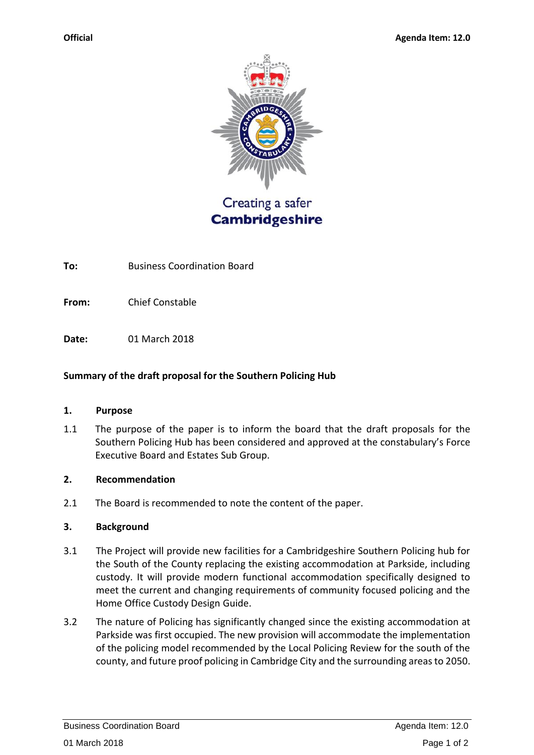

Creating a safer **Cambridgeshire** 

**To:** Business Coordination Board

**From:** Chief Constable

**Date:** 01 March 2018

# **Summary of the draft proposal for the Southern Policing Hub**

## **1. Purpose**

1.1 The purpose of the paper is to inform the board that the draft proposals for the Southern Policing Hub has been considered and approved at the constabulary's Force Executive Board and Estates Sub Group.

## **2. Recommendation**

2.1 The Board is recommended to note the content of the paper.

## **3. Background**

- 3.1 The Project will provide new facilities for a Cambridgeshire Southern Policing hub for the South of the County replacing the existing accommodation at Parkside, including custody. It will provide modern functional accommodation specifically designed to meet the current and changing requirements of community focused policing and the Home Office Custody Design Guide.
- 3.2 The nature of Policing has significantly changed since the existing accommodation at Parkside was first occupied. The new provision will accommodate the implementation of the policing model recommended by the Local Policing Review for the south of the county, and future proof policing in Cambridge City and the surrounding areas to 2050.